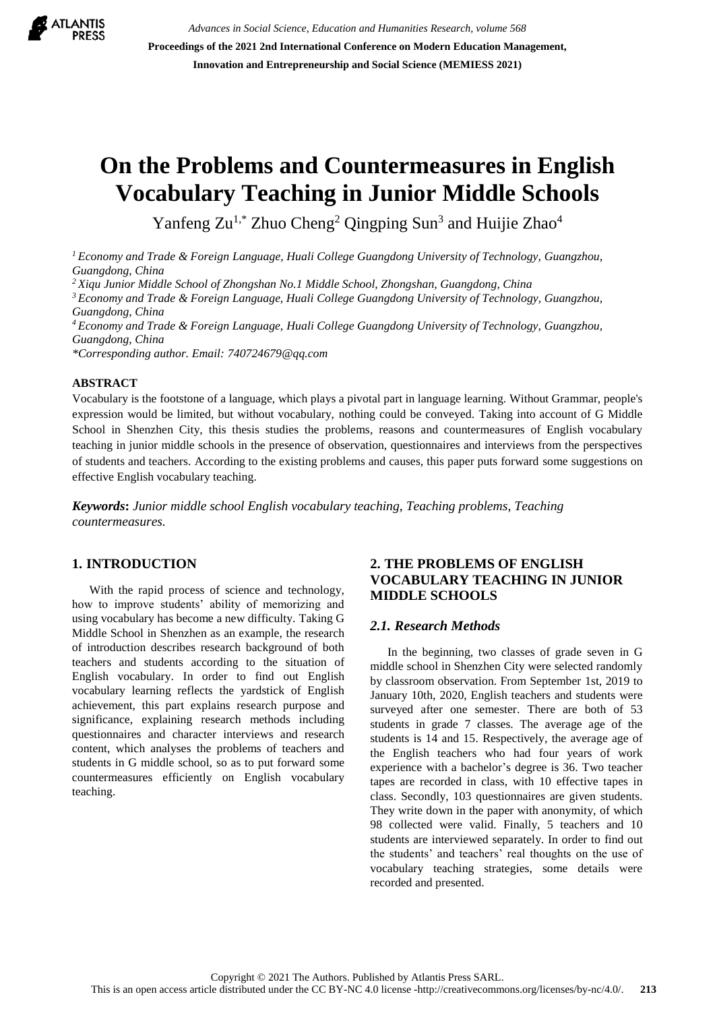

*Advances in Social Science, Education and Humanities Research, volume 568* **Proceedings of the 2021 2nd International Conference on Modern Education Management, Innovation and Entrepreneurship and Social Science (MEMIESS 2021)**

# **On the Problems and Countermeasures in English Vocabulary Teaching in Junior Middle Schools**

Yanfeng Zu<sup>1,\*</sup> Zhuo Cheng<sup>2</sup> Qingping Sun<sup>3</sup> and Huijie Zhao<sup>4</sup>

*<sup>1</sup> Economy and Trade & Foreign Language, Huali College Guangdong University of Technology, Guangzhou, Guangdong, China*

*<sup>2</sup> Xiqu Junior Middle School of Zhongshan No.1 Middle School, Zhongshan, Guangdong, China*

*<sup>3</sup> Economy and Trade & Foreign Language, Huali College Guangdong University of Technology, Guangzhou, Guangdong, China*

*<sup>4</sup> Economy and Trade & Foreign Language, Huali College Guangdong University of Technology, Guangzhou, Guangdong, China*

*\*Corresponding author. Email: 740724679@qq.com*

#### **ABSTRACT**

Vocabulary is the footstone of a language, which plays a pivotal part in language learning. Without Grammar, people's expression would be limited, but without vocabulary, nothing could be conveyed. Taking into account of G Middle School in Shenzhen City, this thesis studies the problems, reasons and countermeasures of English vocabulary teaching in junior middle schools in the presence of observation, questionnaires and interviews from the perspectives of students and teachers. According to the existing problems and causes, this paper puts forward some suggestions on effective English vocabulary teaching.

*Keywords***:** *Junior middle school English vocabulary teaching, Teaching problems, Teaching countermeasures.*

## **1. INTRODUCTION**

With the rapid process of science and technology, how to improve students' ability of memorizing and using vocabulary has become a new difficulty. Taking G Middle School in Shenzhen as an example, the research of introduction describes research background of both teachers and students according to the situation of English vocabulary. In order to find out English vocabulary learning reflects the yardstick of English achievement, this part explains research purpose and significance, explaining research methods including questionnaires and character interviews and research content, which analyses the problems of teachers and students in G middle school, so as to put forward some countermeasures efficiently on English vocabulary teaching.

## **2. THE PROBLEMS OF ENGLISH VOCABULARY TEACHING IN JUNIOR MIDDLE SCHOOLS**

#### *2.1. Research Methods*

In the beginning, two classes of grade seven in G middle school in Shenzhen City were selected randomly by classroom observation. From September 1st, 2019 to January 10th, 2020, English teachers and students were surveyed after one semester. There are both of 53 students in grade 7 classes. The average age of the students is 14 and 15. Respectively, the average age of the English teachers who had four years of work experience with a bachelor's degree is 36. Two teacher tapes are recorded in class, with 10 effective tapes in class. Secondly, 103 questionnaires are given students. They write down in the paper with anonymity, of which 98 collected were valid. Finally, 5 teachers and 10 students are interviewed separately. In order to find out the students' and teachers' real thoughts on the use of vocabulary teaching strategies, some details were recorded and presented.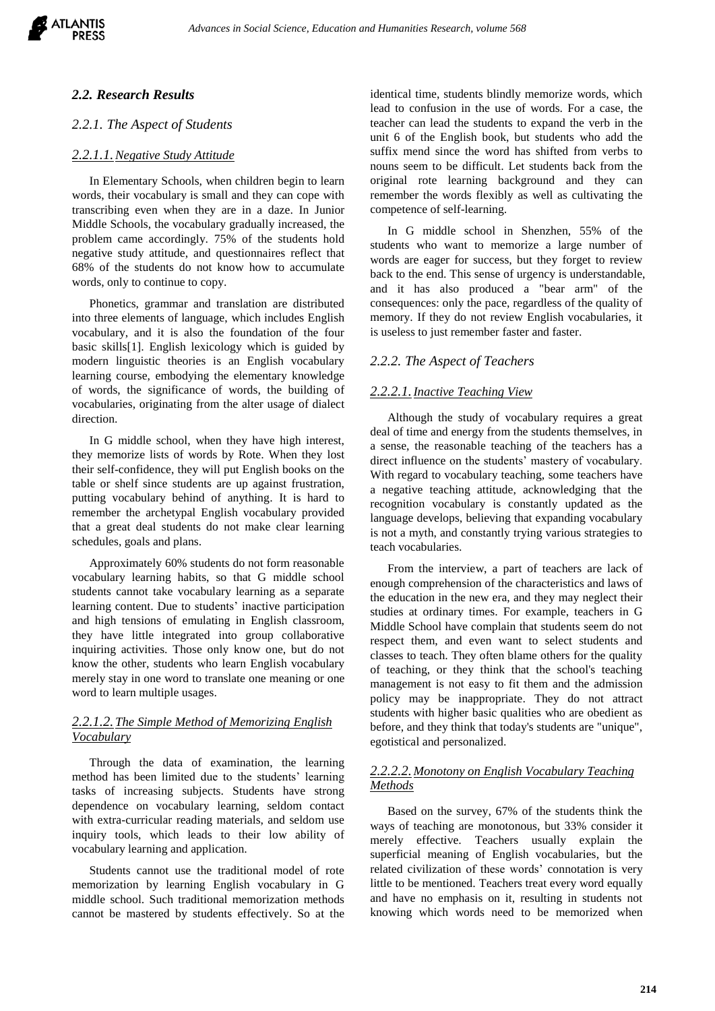

#### *2.2. Research Results*

#### *2.2.1. The Aspect of Students*

#### *2.2.1.1.Negative Study Attitude*

In Elementary Schools, when children begin to learn words, their vocabulary is small and they can cope with transcribing even when they are in a daze. In Junior Middle Schools, the vocabulary gradually increased, the problem came accordingly. 75% of the students hold negative study attitude, and questionnaires reflect that 68% of the students do not know how to accumulate words, only to continue to copy.

Phonetics, grammar and translation are distributed into three elements of language, which includes English vocabulary, and it is also the foundation of the four basic skills[1]. English lexicology which is guided by modern linguistic theories is an English vocabulary learning course, embodying the elementary knowledge of words, the significance of words, the building of vocabularies, originating from the alter usage of dialect direction.

In G middle school, when they have high interest, they memorize lists of words by Rote. When they lost their self-confidence, they will put English books on the table or shelf since students are up against frustration, putting vocabulary behind of anything. It is hard to remember the archetypal English vocabulary provided that a great deal students do not make clear learning schedules, goals and plans.

Approximately 60% students do not form reasonable vocabulary learning habits, so that G middle school students cannot take vocabulary learning as a separate learning content. Due to students' inactive participation and high tensions of emulating in English classroom, they have little integrated into group collaborative inquiring activities. Those only know one, but do not know the other, students who learn English vocabulary merely stay in one word to translate one meaning or one word to learn multiple usages.

## *2.2.1.2.The Simple Method of Memorizing English Vocabulary*

Through the data of examination, the learning method has been limited due to the students' learning tasks of increasing subjects. Students have strong dependence on vocabulary learning, seldom contact with extra-curricular reading materials, and seldom use inquiry tools, which leads to their low ability of vocabulary learning and application.

Students cannot use the traditional model of rote memorization by learning English vocabulary in G middle school. Such traditional memorization methods cannot be mastered by students effectively. So at the identical time, students blindly memorize words, which lead to confusion in the use of words. For a case, the teacher can lead the students to expand the verb in the unit 6 of the English book, but students who add the suffix mend since the word has shifted from verbs to nouns seem to be difficult. Let students back from the original rote learning background and they can remember the words flexibly as well as cultivating the competence of self-learning.

In G middle school in Shenzhen, 55% of the students who want to memorize a large number of words are eager for success, but they forget to review back to the end. This sense of urgency is understandable, and it has also produced a "bear arm" of the consequences: only the pace, regardless of the quality of memory. If they do not review English vocabularies, it is useless to just remember faster and faster.

#### *2.2.2. The Aspect of Teachers*

#### *2.2.2.1.Inactive Teaching View*

Although the study of vocabulary requires a great deal of time and energy from the students themselves, in a sense, the reasonable teaching of the teachers has a direct influence on the students' mastery of vocabulary. With regard to vocabulary teaching, some teachers have a negative teaching attitude, acknowledging that the recognition vocabulary is constantly updated as the language develops, believing that expanding vocabulary is not a myth, and constantly trying various strategies to teach vocabularies.

From the interview, a part of teachers are lack of enough comprehension of the characteristics and laws of the education in the new era, and they may neglect their studies at ordinary times. For example, teachers in G Middle School have complain that students seem do not respect them, and even want to select students and classes to teach. They often blame others for the quality of teaching, or they think that the school's teaching management is not easy to fit them and the admission policy may be inappropriate. They do not attract students with higher basic qualities who are obedient as before, and they think that today's students are "unique", egotistical and personalized.

#### *2.2.2.2.Monotony on English Vocabulary Teaching Methods*

Based on the survey, 67% of the students think the ways of teaching are monotonous, but 33% consider it merely effective. Teachers usually explain the superficial meaning of English vocabularies, but the related civilization of these words' connotation is very little to be mentioned. Teachers treat every word equally and have no emphasis on it, resulting in students not knowing which words need to be memorized when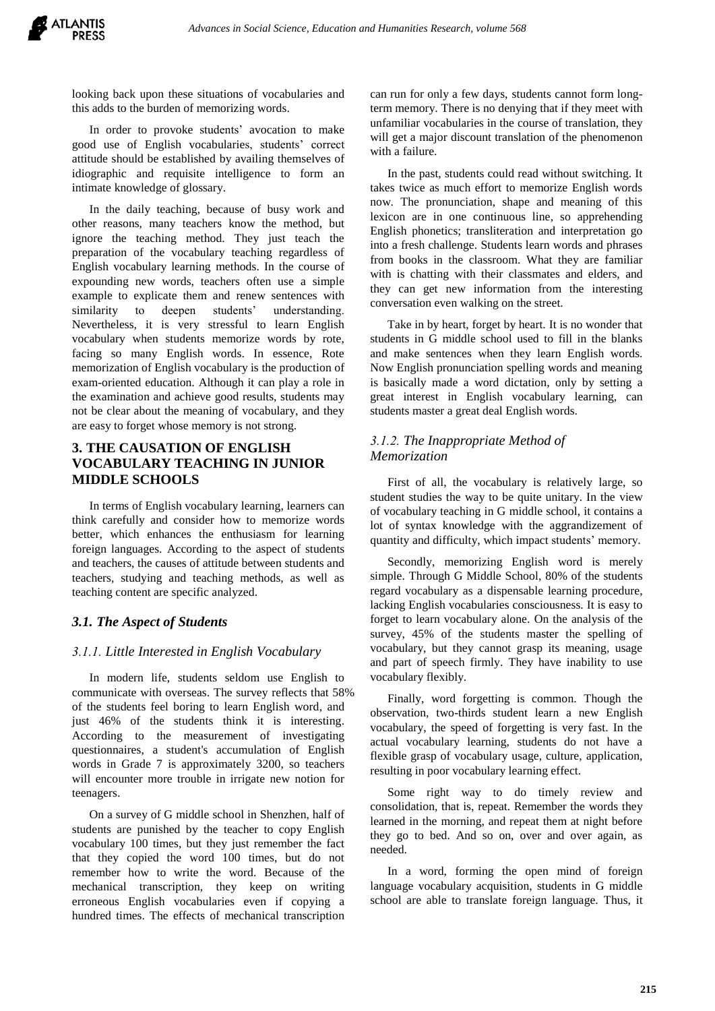looking back upon these situations of vocabularies and this adds to the burden of memorizing words.

In order to provoke students' avocation to make good use of English vocabularies, students' correct attitude should be established by availing themselves of idiographic and requisite intelligence to form an intimate knowledge of glossary.

In the daily teaching, because of busy work and other reasons, many teachers know the method, but ignore the teaching method. They just teach the preparation of the vocabulary teaching regardless of English vocabulary learning methods. In the course of expounding new words, teachers often use a simple example to explicate them and renew sentences with similarity to deepen students' understanding. Nevertheless, it is very stressful to learn English vocabulary when students memorize words by rote, facing so many English words. In essence, Rote memorization of English vocabulary is the production of exam-oriented education. Although it can play a role in the examination and achieve good results, students may not be clear about the meaning of vocabulary, and they are easy to forget whose memory is not strong.

# **3. THE CAUSATION OF ENGLISH VOCABULARY TEACHING IN JUNIOR MIDDLE SCHOOLS**

In terms of English vocabulary learning, learners can think carefully and consider how to memorize words better, which enhances the enthusiasm for learning foreign languages. According to the aspect of students and teachers, the causes of attitude between students and teachers, studying and teaching methods, as well as teaching content are specific analyzed.

## *3.1. The Aspect of Students*

## *3.1.1. Little Interested in English Vocabulary*

In modern life, students seldom use English to communicate with overseas. The survey reflects that 58% of the students feel boring to learn English word, and just 46% of the students think it is interesting. According to the measurement of investigating questionnaires, a student's accumulation of English words in Grade 7 is approximately 3200, so teachers will encounter more trouble in irrigate new notion for teenagers.

On a survey of G middle school in Shenzhen, half of students are punished by the teacher to copy English vocabulary 100 times, but they just remember the fact that they copied the word 100 times, but do not remember how to write the word. Because of the mechanical transcription, they keep on writing erroneous English vocabularies even if copying a hundred times. The effects of mechanical transcription

can run for only a few days, students cannot form longterm memory. There is no denying that if they meet with unfamiliar vocabularies in the course of translation, they will get a major discount translation of the phenomenon with a failure.

In the past, students could read without switching. It takes twice as much effort to memorize English words now. The pronunciation, shape and meaning of this lexicon are in one continuous line, so apprehending English phonetics; transliteration and interpretation go into a fresh challenge. Students learn words and phrases from books in the classroom. What they are familiar with is chatting with their classmates and elders, and they can get new information from the interesting conversation even walking on the street.

Take in by heart, forget by heart. It is no wonder that students in G middle school used to fill in the blanks and make sentences when they learn English words. Now English pronunciation spelling words and meaning is basically made a word dictation, only by setting a great interest in English vocabulary learning, can students master a great deal English words.

## *3.1.2. The Inappropriate Method of Memorization*

First of all, the vocabulary is relatively large, so student studies the way to be quite unitary. In the view of vocabulary teaching in G middle school, it contains a lot of syntax knowledge with the aggrandizement of quantity and difficulty, which impact students' memory.

Secondly, memorizing English word is merely simple. Through G Middle School, 80% of the students regard vocabulary as a dispensable learning procedure, lacking English vocabularies consciousness. It is easy to forget to learn vocabulary alone. On the analysis of the survey, 45% of the students master the spelling of vocabulary, but they cannot grasp its meaning, usage and part of speech firmly. They have inability to use vocabulary flexibly.

Finally, word forgetting is common. Though the observation, two-thirds student learn a new English vocabulary, the speed of forgetting is very fast. In the actual vocabulary learning, students do not have a flexible grasp of vocabulary usage, culture, application, resulting in poor vocabulary learning effect.

Some right way to do timely review and consolidation, that is, repeat. Remember the words they learned in the morning, and repeat them at night before they go to bed. And so on, over and over again, as needed.

In a word, forming the open mind of foreign language vocabulary acquisition, students in G middle school are able to translate foreign language. Thus, it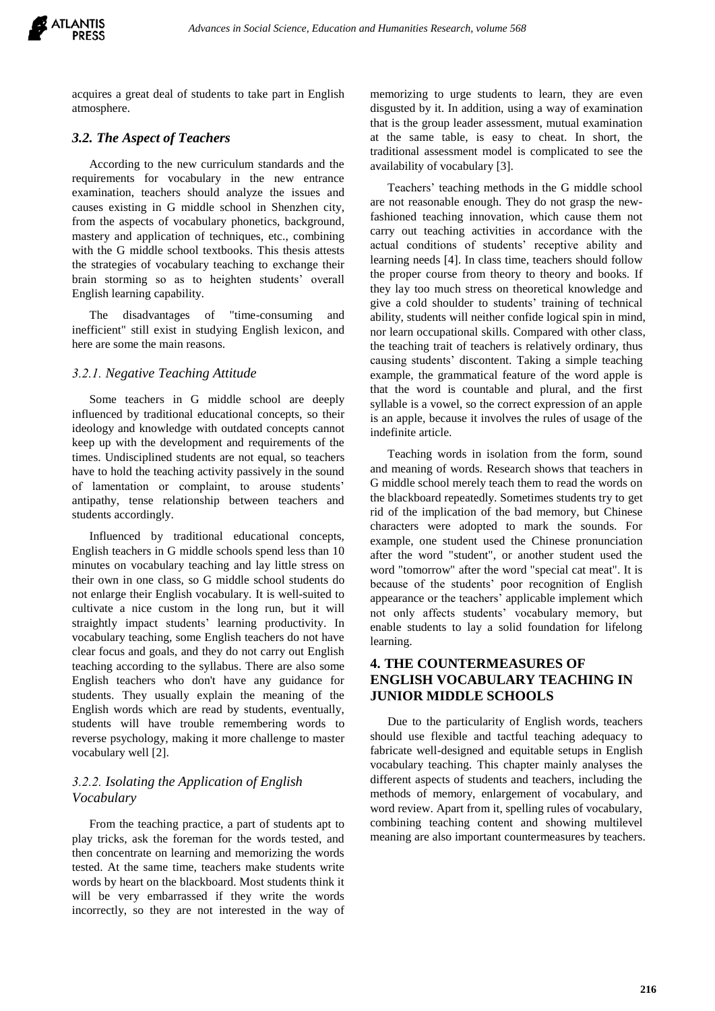

acquires a great deal of students to take part in English atmosphere.

#### *3.2. The Aspect of Teachers*

According to the new curriculum standards and the requirements for vocabulary in the new entrance examination, teachers should analyze the issues and causes existing in G middle school in Shenzhen city, from the aspects of vocabulary phonetics, background, mastery and application of techniques, etc., combining with the G middle school textbooks. This thesis attests the strategies of vocabulary teaching to exchange their brain storming so as to heighten students' overall English learning capability.

The disadvantages of "time-consuming and inefficient" still exist in studying English lexicon, and here are some the main reasons.

#### *3.2.1. Negative Teaching Attitude*

Some teachers in G middle school are deeply influenced by traditional educational concepts, so their ideology and knowledge with outdated concepts cannot keep up with the development and requirements of the times. Undisciplined students are not equal, so teachers have to hold the teaching activity passively in the sound of lamentation or complaint, to arouse students' antipathy, tense relationship between teachers and students accordingly.

Influenced by traditional educational concepts, English teachers in G middle schools spend less than 10 minutes on vocabulary teaching and lay little stress on their own in one class, so G middle school students do not enlarge their English vocabulary. It is well-suited to cultivate a nice custom in the long run, but it will straightly impact students' learning productivity. In vocabulary teaching, some English teachers do not have clear focus and goals, and they do not carry out English teaching according to the syllabus. There are also some English teachers who don't have any guidance for students. They usually explain the meaning of the English words which are read by students, eventually, students will have trouble remembering words to reverse psychology, making it more challenge to master vocabulary well [2].

## *3.2.2. Isolating the Application of English Vocabulary*

From the teaching practice, a part of students apt to play tricks, ask the foreman for the words tested, and then concentrate on learning and memorizing the words tested. At the same time, teachers make students write words by heart on the blackboard. Most students think it will be very embarrassed if they write the words incorrectly, so they are not interested in the way of memorizing to urge students to learn, they are even disgusted by it. In addition, using a way of examination that is the group leader assessment, mutual examination at the same table, is easy to cheat. In short, the traditional assessment model is complicated to see the availability of vocabulary [3].

Teachers' teaching methods in the G middle school are not reasonable enough. They do not grasp the newfashioned teaching innovation, which cause them not carry out teaching activities in accordance with the actual conditions of students' receptive ability and learning needs [4]. In class time, teachers should follow the proper course from theory to theory and books. If they lay too much stress on theoretical knowledge and give a cold shoulder to students' training of technical ability, students will neither confide logical spin in mind, nor learn occupational skills. Compared with other class, the teaching trait of teachers is relatively ordinary, thus causing students' discontent. Taking a simple teaching example, the grammatical feature of the word apple is that the word is countable and plural, and the first syllable is a vowel, so the correct expression of an apple is an apple, because it involves the rules of usage of the indefinite article.

Teaching words in isolation from the form, sound and meaning of words. Research shows that teachers in G middle school merely teach them to read the words on the blackboard repeatedly. Sometimes students try to get rid of the implication of the bad memory, but Chinese characters were adopted to mark the sounds. For example, one student used the Chinese pronunciation after the word "student", or another student used the word "tomorrow" after the word "special cat meat". It is because of the students' poor recognition of English appearance or the teachers' applicable implement which not only affects students' vocabulary memory, but enable students to lay a solid foundation for lifelong learning.

# **4. THE COUNTERMEASURES OF ENGLISH VOCABULARY TEACHING IN JUNIOR MIDDLE SCHOOLS**

Due to the particularity of English words, teachers should use flexible and tactful teaching adequacy to fabricate well-designed and equitable setups in English vocabulary teaching. This chapter mainly analyses the different aspects of students and teachers, including the methods of memory, enlargement of vocabulary, and word review. Apart from it, spelling rules of vocabulary, combining teaching content and showing multilevel meaning are also important countermeasures by teachers.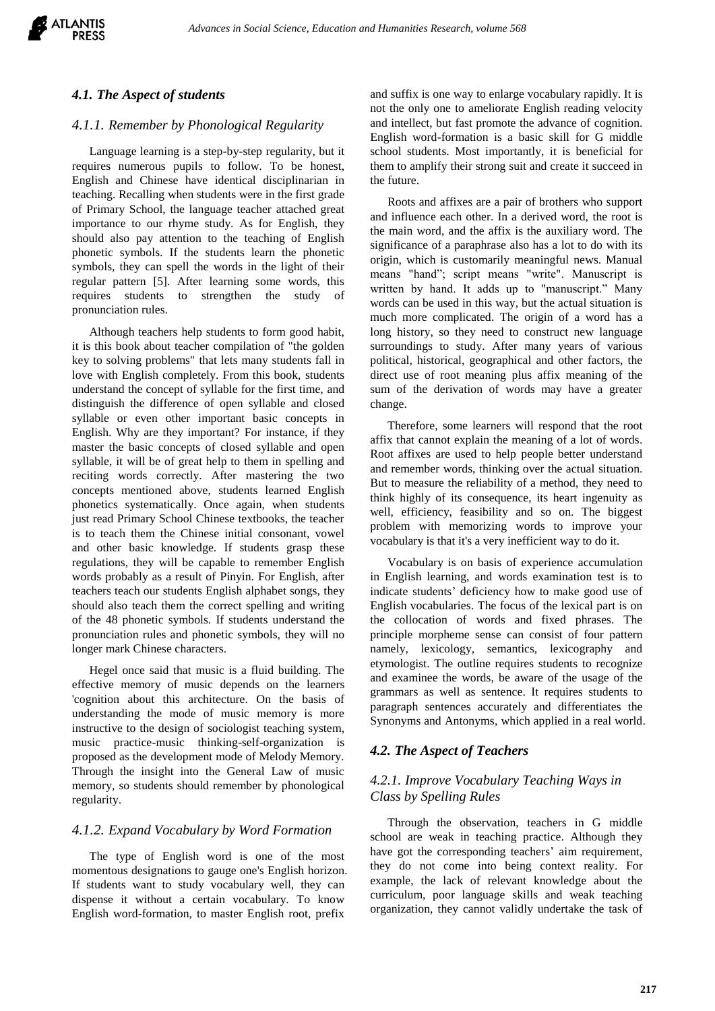

#### *4.1. The Aspect of students*

#### *4.1.1. Remember by Phonological Regularity*

Language learning is a step-by-step regularity, but it requires numerous pupils to follow. To be honest, English and Chinese have identical disciplinarian in teaching. Recalling when students were in the first grade of Primary School, the language teacher attached great importance to our rhyme study. As for English, they should also pay attention to the teaching of English phonetic symbols. If the students learn the phonetic symbols, they can spell the words in the light of their regular pattern [5]. After learning some words, this requires students to strengthen the study of pronunciation rules.

Although teachers help students to form good habit, it is this book about teacher compilation of "the golden key to solving problems" that lets many students fall in love with English completely. From this book, students understand the concept of syllable for the first time, and distinguish the difference of open syllable and closed syllable or even other important basic concepts in English. Why are they important? For instance, if they master the basic concepts of closed syllable and open syllable, it will be of great help to them in spelling and reciting words correctly. After mastering the two concepts mentioned above, students learned English phonetics systematically. Once again, when students just read Primary School Chinese textbooks, the teacher is to teach them the Chinese initial consonant, vowel and other basic knowledge. If students grasp these regulations, they will be capable to remember English words probably as a result of Pinyin. For English, after teachers teach our students English alphabet songs, they should also teach them the correct spelling and writing of the 48 phonetic symbols. If students understand the pronunciation rules and phonetic symbols, they will no longer mark Chinese characters.

Hegel once said that music is a fluid building. The effective memory of music depends on the learners 'cognition about this architecture. On the basis of understanding the mode of music memory is more instructive to the design of sociologist teaching system, music practice-music thinking-self-organization is proposed as the development mode of Melody Memory. Through the insight into the General Law of music memory, so students should remember by phonological regularity.

#### *4.1.2. Expand Vocabulary by Word Formation*

The type of English word is one of the most momentous designations to gauge one's English horizon. If students want to study vocabulary well, they can dispense it without a certain vocabulary. To know English word-formation, to master English root, prefix

and suffix is one way to enlarge vocabulary rapidly. It is not the only one to ameliorate English reading velocity and intellect, but fast promote the advance of cognition. English word-formation is a basic skill for G middle school students. Most importantly, it is beneficial for them to amplify their strong suit and create it succeed in the future.

Roots and affixes are a pair of brothers who support and influence each other. In a derived word, the root is the main word, and the affix is the auxiliary word. The significance of a paraphrase also has a lot to do with its origin, which is customarily meaningful news. Manual means "hand"; script means "write". Manuscript is written by hand. It adds up to "manuscript." Many words can be used in this way, but the actual situation is much more complicated. The origin of a word has a long history, so they need to construct new language surroundings to study. After many years of various political, historical, geographical and other factors, the direct use of root meaning plus affix meaning of the sum of the derivation of words may have a greater change.

Therefore, some learners will respond that the root affix that cannot explain the meaning of a lot of words. Root affixes are used to help people better understand and remember words, thinking over the actual situation. But to measure the reliability of a method, they need to think highly of its consequence, its heart ingenuity as well, efficiency, feasibility and so on. The biggest problem with memorizing words to improve your vocabulary is that it's a very inefficient way to do it.

Vocabulary is on basis of experience accumulation in English learning, and words examination test is to indicate students' deficiency how to make good use of English vocabularies. The focus of the lexical part is on the collocation of words and fixed phrases. The principle morpheme sense can consist of four pattern namely, lexicology, semantics, lexicography and etymologist. The outline requires students to recognize and examinee the words, be aware of the usage of the grammars as well as sentence. It requires students to paragraph sentences accurately and differentiates the Synonyms and Antonyms, which applied in a real world.

#### *4.2. The Aspect of Teachers*

## *4.2.1. Improve Vocabulary Teaching Ways in Class by Spelling Rules*

Through the observation, teachers in G middle school are weak in teaching practice. Although they have got the corresponding teachers' aim requirement, they do not come into being context reality. For example, the lack of relevant knowledge about the curriculum, poor language skills and weak teaching organization, they cannot validly undertake the task of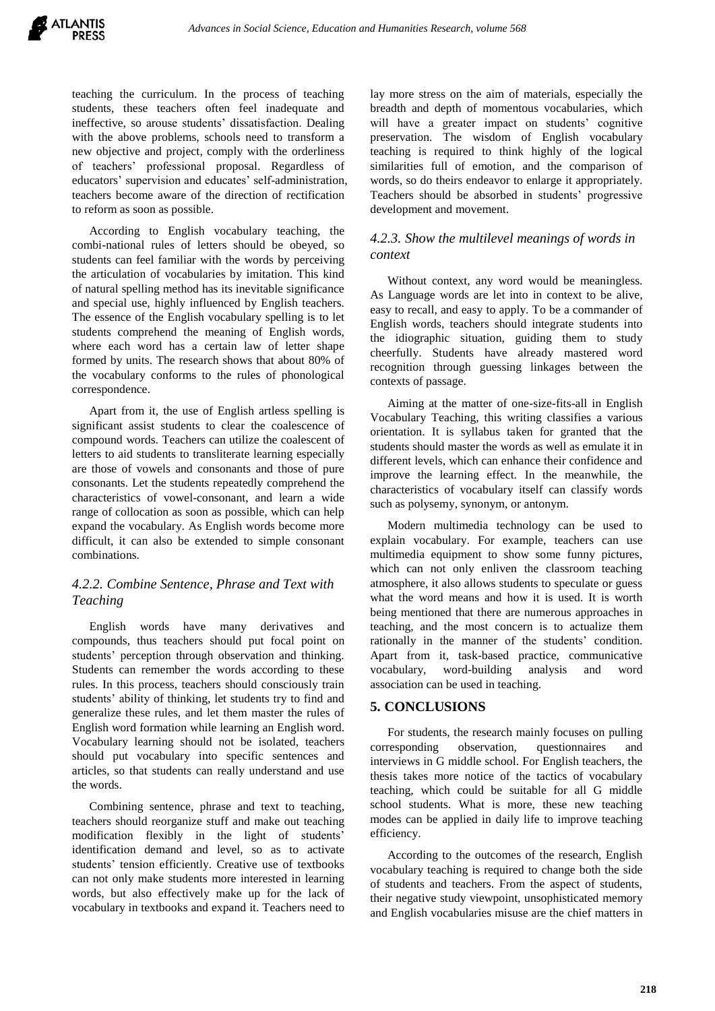teaching the curriculum. In the process of teaching students, these teachers often feel inadequate and ineffective, so arouse students' dissatisfaction. Dealing with the above problems, schools need to transform a new objective and project, comply with the orderliness of teachers' professional proposal. Regardless of educators' supervision and educates' self-administration, teachers become aware of the direction of rectification to reform as soon as possible.

According to English vocabulary teaching, the combi-national rules of letters should be obeyed, so students can feel familiar with the words by perceiving the articulation of vocabularies by imitation. This kind of natural spelling method has its inevitable significance and special use, highly influenced by English teachers. The essence of the English vocabulary spelling is to let students comprehend the meaning of English words, where each word has a certain law of letter shape formed by units. The research shows that about 80% of the vocabulary conforms to the rules of phonological correspondence.

Apart from it, the use of English artless spelling is significant assist students to clear the coalescence of compound words. Teachers can utilize the coalescent of letters to aid students to transliterate learning especially are those of vowels and consonants and those of pure consonants. Let the students repeatedly comprehend the characteristics of vowel-consonant, and learn a wide range of collocation as soon as possible, which can help expand the vocabulary. As English words become more difficult, it can also be extended to simple consonant combinations.

# *4.2.2. Combine Sentence, Phrase and Text with Teaching*

English words have many derivatives and compounds, thus teachers should put focal point on students' perception through observation and thinking. Students can remember the words according to these rules. In this process, teachers should consciously train students' ability of thinking, let students try to find and generalize these rules, and let them master the rules of English word formation while learning an English word. Vocabulary learning should not be isolated, teachers should put vocabulary into specific sentences and articles, so that students can really understand and use the words.

Combining sentence, phrase and text to teaching, teachers should reorganize stuff and make out teaching modification flexibly in the light of students' identification demand and level, so as to activate students' tension efficiently. Creative use of textbooks can not only make students more interested in learning words, but also effectively make up for the lack of vocabulary in textbooks and expand it. Teachers need to

lay more stress on the aim of materials, especially the breadth and depth of momentous vocabularies, which will have a greater impact on students' cognitive preservation. The wisdom of English vocabulary teaching is required to think highly of the logical similarities full of emotion, and the comparison of words, so do theirs endeavor to enlarge it appropriately. Teachers should be absorbed in students' progressive development and movement.

## *4.2.3. Show the multilevel meanings of words in context*

Without context, any word would be meaningless. As Language words are let into in context to be alive, easy to recall, and easy to apply. To be a commander of English words, teachers should integrate students into the idiographic situation, guiding them to study cheerfully. Students have already mastered word recognition through guessing linkages between the contexts of passage.

Aiming at the matter of one-size-fits-all in English Vocabulary Teaching, this writing classifies a various orientation. It is syllabus taken for granted that the students should master the words as well as emulate it in different levels, which can enhance their confidence and improve the learning effect. In the meanwhile, the characteristics of vocabulary itself can classify words such as polysemy, synonym, or antonym.

Modern multimedia technology can be used to explain vocabulary. For example, teachers can use multimedia equipment to show some funny pictures, which can not only enliven the classroom teaching atmosphere, it also allows students to speculate or guess what the word means and how it is used. It is worth being mentioned that there are numerous approaches in teaching, and the most concern is to actualize them rationally in the manner of the students' condition. Apart from it, task-based practice, communicative vocabulary, word-building analysis and word association can be used in teaching.

## **5. CONCLUSIONS**

For students, the research mainly focuses on pulling corresponding observation, questionnaires and interviews in G middle school. For English teachers, the thesis takes more notice of the tactics of vocabulary teaching, which could be suitable for all G middle school students. What is more, these new teaching modes can be applied in daily life to improve teaching efficiency.

According to the outcomes of the research, English vocabulary teaching is required to change both the side of students and teachers. From the aspect of students, their negative study viewpoint, unsophisticated memory and English vocabularies misuse are the chief matters in